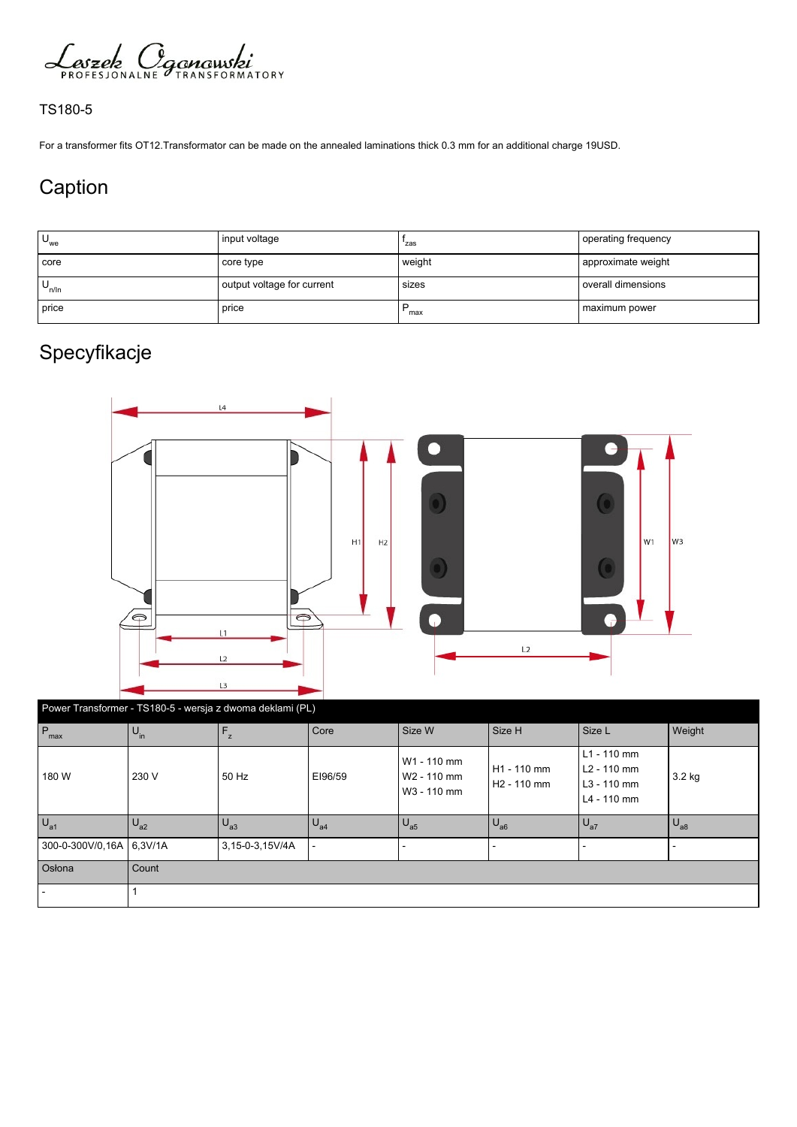

## TS180-5

For a transformer fits OT12.Transformator can be made on the annealed laminations thick 0.3 mm for an additional charge 19USD.

## Caption

| $U_{we}$   | input voltage              | 'zas   | operating frequency  |
|------------|----------------------------|--------|----------------------|
| core       | core type                  | weight | approximate weight   |
| $U_{n/ln}$ | output voltage for current | sizes  | l overall dimensions |
| price      | price                      | max    | maximum power        |

## Specyfikacje



| Power Transformer - TS180-5 - wersja z dwoma deklami (PL) |                            |                 |          |                                                       |                                        |                                                            |                |  |
|-----------------------------------------------------------|----------------------------|-----------------|----------|-------------------------------------------------------|----------------------------------------|------------------------------------------------------------|----------------|--|
| $P_{\text{max}}$                                          | $\mathsf{U}_{\mathsf{in}}$ | $F_{z}$         | Core     | Size W                                                | Size H                                 | Size L                                                     | Weight         |  |
| 180 W                                                     | 230 V                      | 50 Hz           | EI96/59  | W1 - 110 mm<br>W <sub>2</sub> - 110 mm<br>W3 - 110 mm | H1 - 110 mm<br>H <sub>2</sub> - 110 mm | $L1 - 110$ mm<br>L2 - 110 mm<br>L3 - 110 mm<br>L4 - 110 mm | $3.2$ kg       |  |
| $U_{a1}$                                                  | $U_{a2}$                   | $U_{a3}$        | $U_{a4}$ | $U_{a5}$                                              | $U_{a6}$                               | $U_{a7}$                                                   | $\bigcup_{a8}$ |  |
| 300-0-300V/0.16A 6.3V/1A                                  |                            | 3,15-0-3,15V/4A |          |                                                       |                                        |                                                            |                |  |
| Osłona                                                    | l Count                    |                 |          |                                                       |                                        |                                                            |                |  |
|                                                           |                            |                 |          |                                                       |                                        |                                                            |                |  |